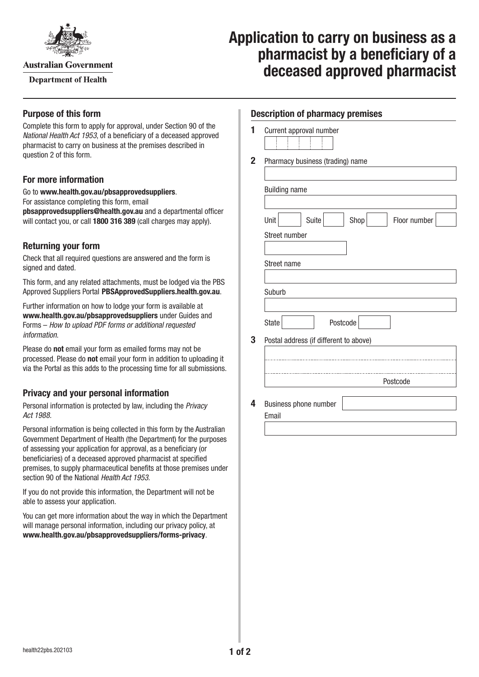

**Australian Government** 

**Department of Health** 

# **Application to carry on business as a pharmacist by a beneficiary of a deceased approved pharmacist**

## **Purpose of this form**

Complete this form to apply for approval, under Section 90 of the *National Health Act 1953*, of a beneficiary of a deceased approved pharmacist to carry on business at the premises described in question 2 of this form.

## **For more information**

Go to **[www.health.gov.au/pbsapprovedsuppliers](http://www.health.gov.au/pbsapprovedsuppliers)**. For assistance completing this form, email **[pbsapprovedsuppliers@health.gov.au](mailto:pbsapprovedsuppliers@health.gov.au)** and a departmental officer will contact you, or call **1800 316 389** (call charges may apply).

## **Returning your form**

Check that all required questions are answered and the form is signed and dated.

This form, and any related attachments, must be lodged via the PBS Approved Suppliers Portal [PBSApprovedSuppliers.health.gov.au](http://PBSApprovedSuppliers.health.gov.au).

Further information on how to lodge your form is available at **[www.health.gov.au/pbsapprovedsuppliers](http://www.health.gov.au/pbsapprovedsuppliers)** under Guides and Forms – *How to upload PDF forms or additional requested information*.

Please do **not** email your form as emailed forms may not be processed. Please do **not** email your form in addition to uploading it via the Portal as this adds to the processing time for all submissions.

## **Privacy and your personal information**

Personal information is protected by law, including the *Privacy Act 1988.*

Personal information is being collected in this form by the Australian Government Department of Health (the Department) for the purposes of assessing your application for approval, as a beneficiary (or beneficiaries) of a deceased approved pharmacist at specified premises, to supply pharmaceutical benefits at those premises under section 90 of the National *Health Act 1953*.

If you do not provide this information, the Department will not be able to assess your application.

You can get more information about the way in which the Department will manage personal information, including our privacy policy, at **[www.health.gov.au/pbsapprovedsuppliers/forms-privacy](http://www.health.gov.au/pbsapprovedsuppliers/forms-privacy)**.

### **Description of pharmacy premises**

| Current approval number |  |  |  |  |  |  |
|-------------------------|--|--|--|--|--|--|
|                         |  |  |  |  |  |  |
|                         |  |  |  |  |  |  |
|                         |  |  |  |  |  |  |
|                         |  |  |  |  |  |  |
|                         |  |  |  |  |  |  |
|                         |  |  |  |  |  |  |
|                         |  |  |  |  |  |  |

**2** Pharmacy business (trading) name

| Unit                                   | Suite | Shop     | Floor number |
|----------------------------------------|-------|----------|--------------|
| Street number                          |       |          |              |
|                                        |       |          |              |
| Street name                            |       |          |              |
|                                        |       |          |              |
| Suburb                                 |       |          |              |
|                                        |       |          |              |
| <b>State</b>                           |       | Postcode |              |
|                                        |       |          |              |
| Postal address (if different to above) |       |          |              |
|                                        |       |          |              |
|                                        |       |          |              |
|                                        |       |          | Postcode     |